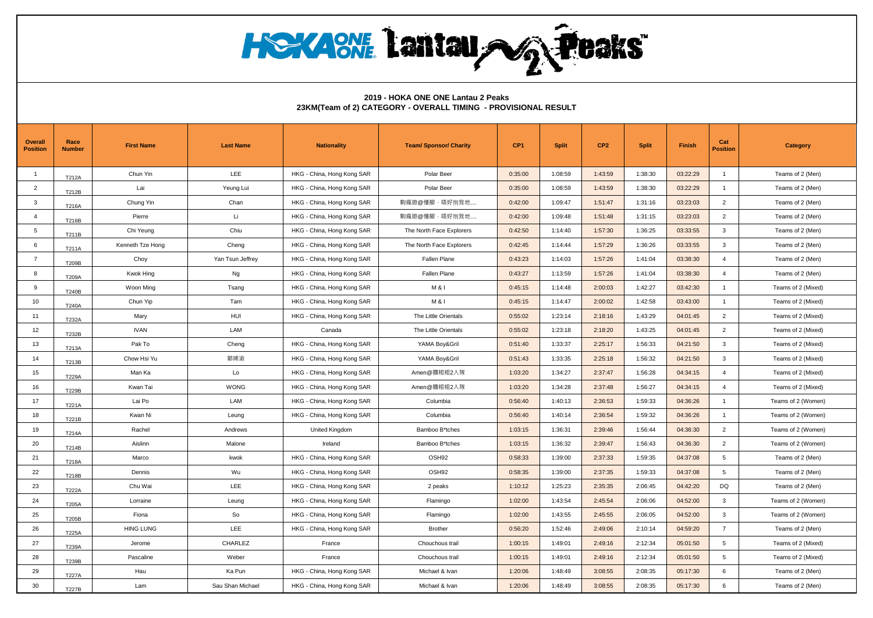**HOYAONE Lantau AG Peaks** 

## **2019 - HOKA ONE ONE Lantau 2 Peaks 23KM(Team of 2) CATEGORY - OVERALL TIMING - PROVISIONAL RESULT**

| Overall<br><b>Position</b> | Race<br><b>Number</b> | <b>First Name</b> | <b>Last Name</b> | <b>Nationality</b>         | <b>Team/ Sponsor/ Charity</b> | CP <sub>1</sub> | <b>Split</b> | CP <sub>2</sub> | <b>Split</b> | Finish   | Cat<br><b>Position</b> | <b>Category</b>    |
|----------------------------|-----------------------|-------------------|------------------|----------------------------|-------------------------------|-----------------|--------------|-----------------|--------------|----------|------------------------|--------------------|
| $\mathbf{1}$               | T212A                 | Chun Yin          | <b>LEE</b>       | HKG - China, Hong Kong SAR | Polar Beer                    | 0:35:00         | 1:08:59      | 1:43:59         | 1:38:30      | 03:22:29 | $\overline{1}$         | Teams of 2 (Men)   |
| $\overline{2}$             | T212B                 | Lai               | Yeung Lui        | HKG - China, Hong Kong SAR | Polar Beer                    | 0:35:00         | 1:08:59      | 1:43:59         | 1:38:30      | 03:22:29 | $\mathbf{1}$           | Teams of 2 (Men)   |
| 3                          | T216A                 | Chung Yin         | Chan             | HKG - China, Hong Kong SAR | 駒瘋遊@慢腳,唔好別我地                  | 0:42:00         | 1:09:47      | 1:51:47         | 1:31:16      | 03:23:03 | $\overline{2}$         | Teams of 2 (Men)   |
| $\overline{4}$             | T216B                 | Pierre            | Li               | HKG - China, Hong Kong SAR | 駒瘋遊@慢腳,唔好別我地                  | 0:42:00         | 1:09:48      | 1:51:48         | 1:31:15      | 03:23:03 | $\overline{2}$         | Teams of 2 (Men)   |
| 5                          | T211B                 | Chi Yeung         | Chiu             | HKG - China, Hong Kong SAR | The North Face Explorers      | 0:42:50         | 1:14:40      | 1:57:30         | 1:36:25      | 03:33:55 | 3                      | Teams of 2 (Men)   |
| 6                          | T211A                 | Kenneth Tze Hong  | Cheng            | HKG - China, Hong Kong SAR | The North Face Explorers      | 0:42:45         | 1:14:44      | 1:57:29         | 1:36:26      | 03:33:55 | 3                      | Teams of 2 (Men)   |
| $\overline{7}$             | T209B                 | Choy              | Yan Tsun Jeffrey | HKG - China, Hong Kong SAR | Fallen Plane                  | 0:43:23         | 1:14:03      | 1:57:26         | 1:41:04      | 03:38:30 | $\overline{4}$         | Teams of 2 (Men)   |
| 8                          | T209A                 | Kwok Hing         | Ng               | HKG - China, Hong Kong SAR | Fallen Plane                  | 0:43:27         | 1:13:59      | 1:57:26         | 1:41:04      | 03:38:30 | $\overline{4}$         | Teams of 2 (Men)   |
| 9                          | T240B                 | Woon Ming         | Tsang            | HKG - China, Hong Kong SAR | M & I                         | 0:45:15         | 1:14:48      | 2:00:03         | 1:42:27      | 03:42:30 | $\mathbf{1}$           | Teams of 2 (Mixed) |
| 10                         | T240A                 | Chun Yip          | Tam              | HKG - China, Hong Kong SAR | M & I                         | 0:45:15         | 1:14:47      | 2:00:02         | 1:42:58      | 03:43:00 | $\overline{1}$         | Teams of 2 (Mixed) |
| 11                         | T232A                 | Mary              | HUI              | HKG - China, Hong Kong SAR | The Little Orientals          | 0:55:02         | 1:23:14      | 2:18:16         | 1:43:29      | 04:01:45 | $\overline{2}$         | Teams of 2 (Mixed) |
| 12                         | T232B                 | <b>IVAN</b>       | LAM              | Canada                     | The Little Orientals          | 0:55:02         | 1:23:18      | 2:18:20         | 1:43:25      | 04:01:45 | $\overline{2}$         | Teams of 2 (Mixed) |
| 13                         | T213A                 | Pak To            | Cheng            | HKG - China, Hong Kong SAR | YAMA Boy&Gril                 | 0:51:40         | 1:33:37      | 2:25:17         | 1:56:33      | 04:21:50 | 3                      | Teams of 2 (Mixed) |
| 14                         | T213B                 | Chow Hsi Yu       | 鄒晞渝              | HKG - China, Hong Kong SAR | YAMA Boy&Gril                 | 0:51:43         | 1:33:35      | 2:25:18         | 1:56:32      | 04:21:50 | 3                      | Teams of 2 (Mixed) |
| 15                         | <b>T229A</b>          | Man Ka            | Lo               | HKG - China, Hong Kong SAR | Amen@膽粗粗2人隊                   | 1:03:20         | 1:34:27      | 2:37:47         | 1:56:28      | 04:34:15 | $\overline{4}$         | Teams of 2 (Mixed) |
| 16                         | T229B                 | Kwan Tai          | <b>WONG</b>      | HKG - China, Hong Kong SAR | Amen@膽粗粗2人隊                   | 1:03:20         | 1:34:28      | 2:37:48         | 1:56:27      | 04:34:15 | $\overline{4}$         | Teams of 2 (Mixed) |
| 17                         | T221A                 | Lai Po            | LAM              | HKG - China, Hong Kong SAR | Columbia                      | 0:56:40         | 1:40:13      | 2:36:53         | 1:59:33      | 04:36:26 | $\overline{1}$         | Teams of 2 (Women) |
| 18                         | T221B                 | Kwan Ni           | Leung            | HKG - China, Hong Kong SAR | Columbia                      | 0:56:40         | 1:40:14      | 2:36:54         | 1:59:32      | 04:36:26 | $\overline{1}$         | Teams of 2 (Women) |
| 19                         | T214A                 | Rachel            | Andrews          | United Kingdom             | Bamboo B*tches                | 1:03:15         | 1:36:31      | 2:39:46         | 1:56:44      | 04:36:30 | $\overline{2}$         | Teams of 2 (Women) |
| 20                         | T214B                 | Aislinn           | Malone           | Ireland                    | Bamboo B*tches                | 1:03:15         | 1:36:32      | 2:39:47         | 1:56:43      | 04:36:30 | $\overline{2}$         | Teams of 2 (Women) |
| 21                         | T218A                 | Marco             | kwok             | HKG - China, Hong Kong SAR | OSH <sub>92</sub>             | 0:58:33         | 1:39:00      | 2:37:33         | 1:59:35      | 04:37:08 | 5                      | Teams of 2 (Men)   |
| 22                         | T218B                 | Dennis            | Wu               | HKG - China, Hong Kong SAR | OSH <sub>92</sub>             | 0:58:35         | 1:39:00      | 2:37:35         | 1:59:33      | 04:37:08 | 5                      | Teams of 2 (Men)   |
| 23                         | T222A                 | Chu Wai           | LEE              | HKG - China, Hong Kong SAR | 2 peaks                       | 1:10:12         | 1:25:23      | 2:35:35         | 2:06:45      | 04:42:20 | DQ                     | Teams of 2 (Men)   |
| 24                         | T205A                 | Lorraine          | Leung            | HKG - China, Hong Kong SAR | Flamingo                      | 1:02:00         | 1:43:54      | 2:45:54         | 2:06:06      | 04:52:00 | 3                      | Teams of 2 (Women) |
| 25                         | T205B                 | Fiona             | So               | HKG - China, Hong Kong SAR | Flamingo                      | 1:02:00         | 1:43:55      | 2:45:55         | 2:06:05      | 04:52:00 | 3                      | Teams of 2 (Women) |
| 26                         | <b>T225A</b>          | <b>HING LUNG</b>  | LEE              | HKG - China, Hong Kong SAR | <b>Brother</b>                | 0:56:20         | 1:52:46      | 2:49:06         | 2:10:14      | 04:59:20 | $\overline{7}$         | Teams of 2 (Men)   |
| 27                         | T239A                 | Jerome            | CHARLEZ          | France                     | Chouchous trail               | 1:00:15         | 1:49:01      | 2:49:16         | 2:12:34      | 05:01:50 | 5                      | Teams of 2 (Mixed) |
| 28                         | T239B                 | Pascaline         | Weber            | France                     | Chouchous trail               | 1:00:15         | 1:49:01      | 2:49:16         | 2:12:34      | 05:01:50 | 5                      | Teams of 2 (Mixed) |
| 29                         | <b>T227A</b>          | Hau               | Ka Pun           | HKG - China, Hong Kong SAR | Michael & Ivan                | 1:20:06         | 1:48:49      | 3:08:55         | 2:08:35      | 05:17:30 | 6                      | Teams of 2 (Men)   |
| 30                         | <b>T227B</b>          | Lam               | Sau Shan Michael | HKG - China, Hong Kong SAR | Michael & Ivan                | 1:20:06         | 1:48:49      | 3:08:55         | 2:08:35      | 05:17:30 | 6                      | Teams of 2 (Men)   |